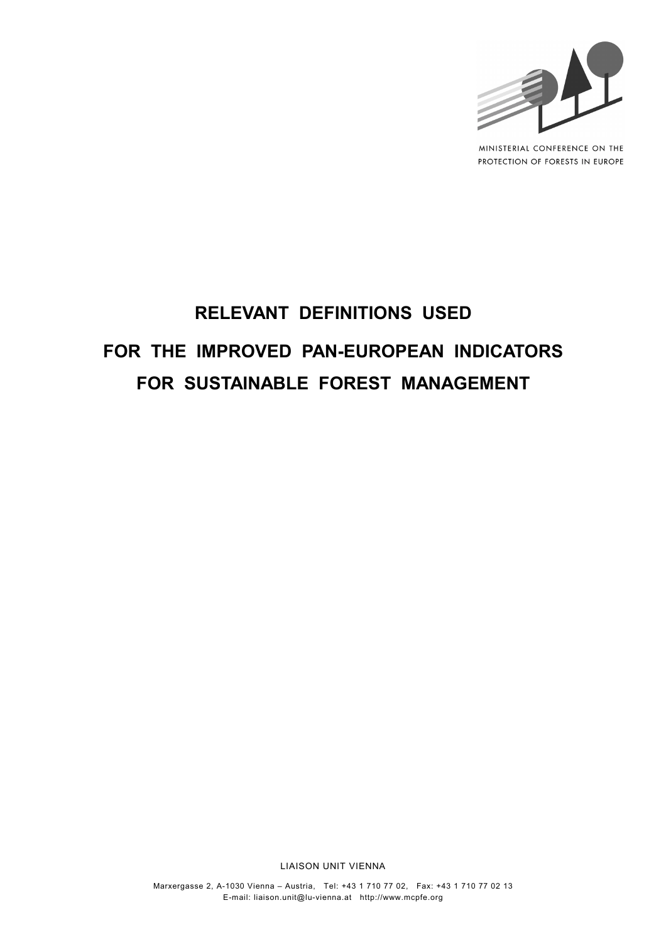

MINISTERIAL CONFERENCE ON THE PROTECTION OF FORESTS IN EUROPE

# **RELEVANT DEFINITIONS USED FOR THE IMPROVED PAN-EUROPEAN INDICATORS FOR SUSTAINABLE FOREST MANAGEMENT**

LIAISON UNIT VIENNA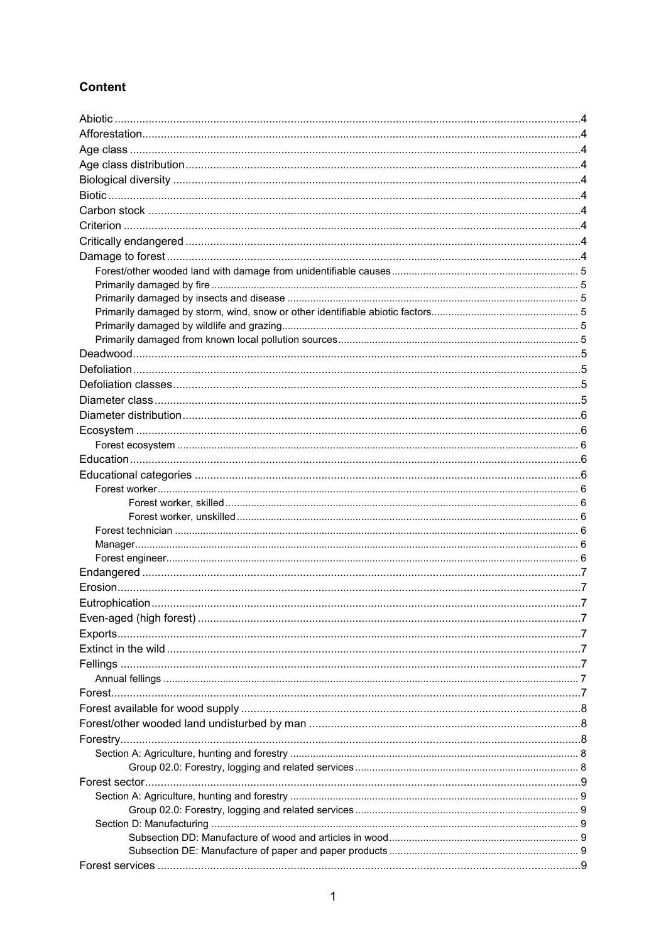# **Content**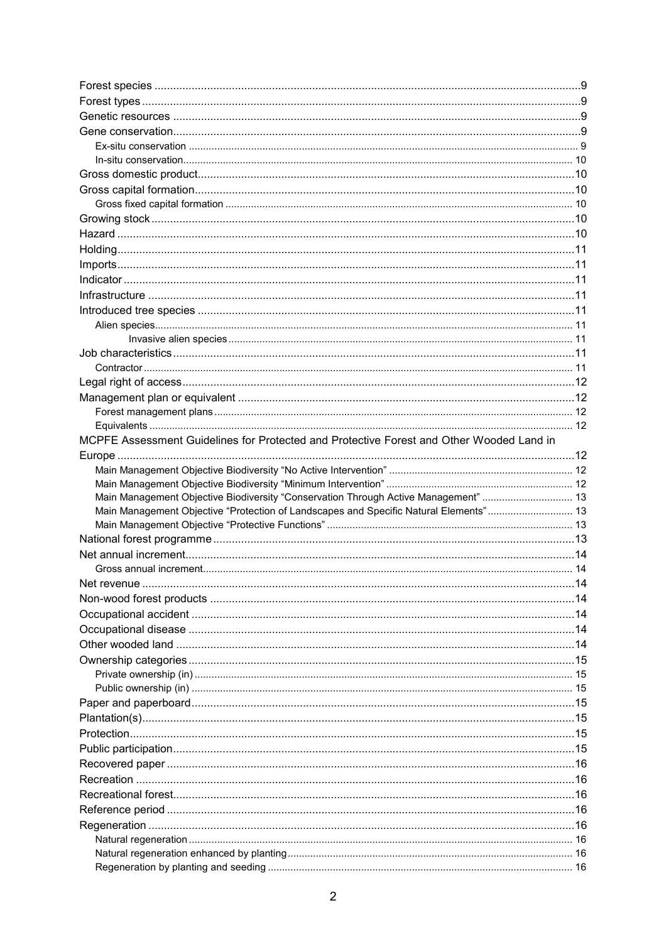| MCPFE Assessment Guidelines for Protected and Protective Forest and Other Wooded Land in |  |
|------------------------------------------------------------------------------------------|--|
|                                                                                          |  |
|                                                                                          |  |
|                                                                                          |  |
| Main Management Objective Biodiversity "Conservation Through Active Management"  13      |  |
| Main Management Objective "Protection of Landscapes and Specific Natural Elements" 13    |  |
|                                                                                          |  |
|                                                                                          |  |
|                                                                                          |  |
|                                                                                          |  |
|                                                                                          |  |
|                                                                                          |  |
|                                                                                          |  |
|                                                                                          |  |
|                                                                                          |  |
|                                                                                          |  |
|                                                                                          |  |
|                                                                                          |  |
|                                                                                          |  |
|                                                                                          |  |
|                                                                                          |  |
|                                                                                          |  |
|                                                                                          |  |
|                                                                                          |  |
|                                                                                          |  |
|                                                                                          |  |
|                                                                                          |  |
|                                                                                          |  |
|                                                                                          |  |
|                                                                                          |  |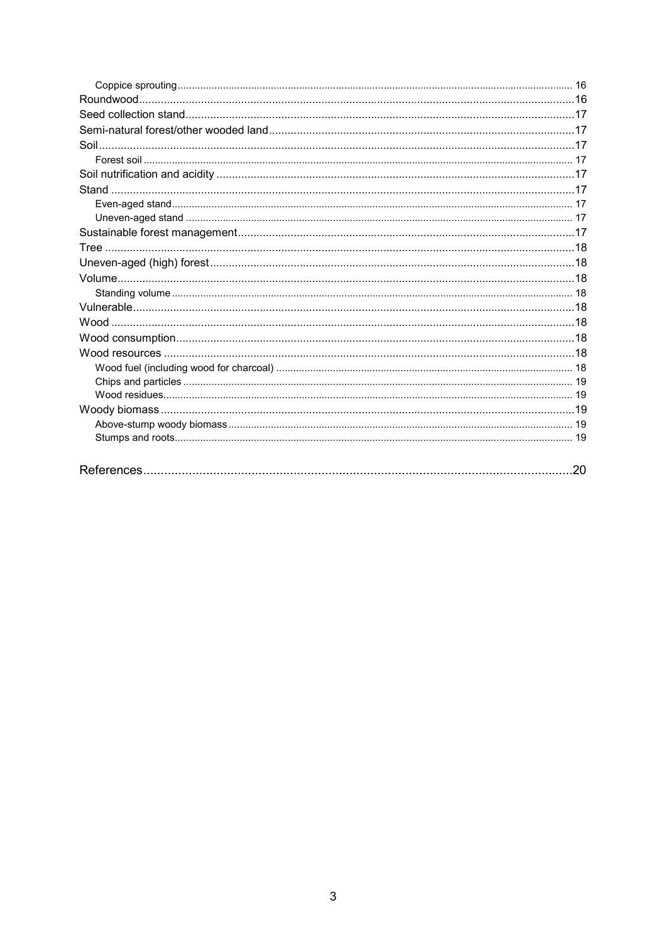| .20 |
|-----|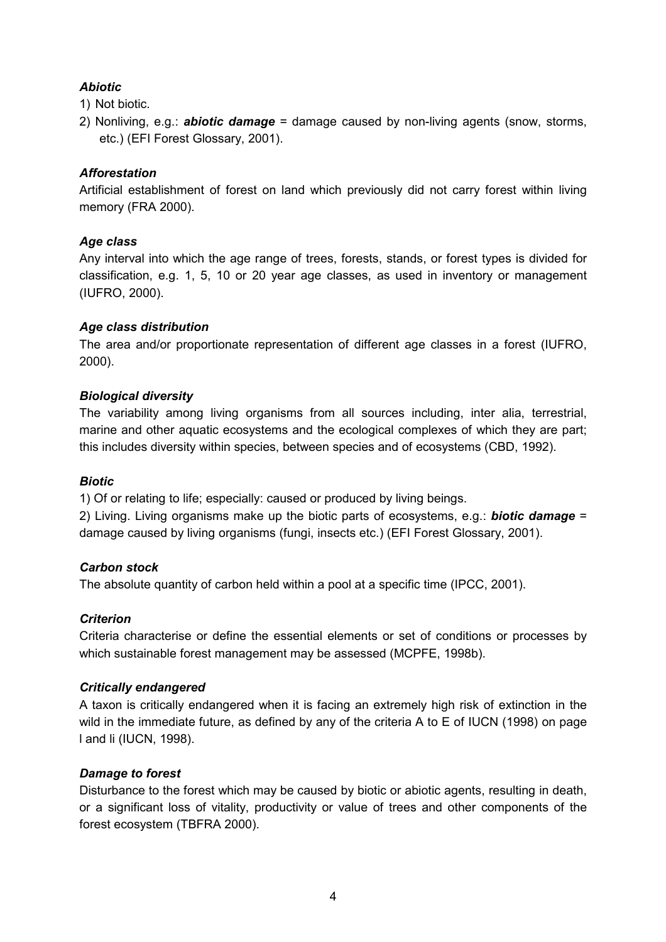# <span id="page-4-0"></span>*Abiotic*

1) Not biotic.

2) Nonliving, e.g.: *abiotic damage* = damage caused by non-living agents (snow, storms, etc.) (EFI Forest Glossary, 2001).

# <span id="page-4-1"></span>*Afforestation*

Artificial establishment of forest on land which previously did not carry forest within living memory (FRA 2000).

# <span id="page-4-2"></span>*Age class*

Any interval into which the age range of trees, forests, stands, or forest types is divided for classification, e.g. 1, 5, 10 or 20 year age classes, as used in inventory or management (IUFRO, 2000).

# <span id="page-4-3"></span>*Age class distribution*

The area and/or proportionate representation of different age classes in a forest (IUFRO, 2000).

# <span id="page-4-4"></span>*Biological diversity*

The variability among living organisms from all sources including, inter alia, terrestrial, marine and other aquatic ecosystems and the ecological complexes of which they are part; this includes diversity within species, between species and of ecosystems (CBD, 1992).

# <span id="page-4-5"></span>*Biotic*

1) Of or relating to life; especially: caused or produced by living beings.

2) Living. Living organisms make up the biotic parts of ecosystems, e.g.: *biotic damage* = damage caused by living organisms (fungi, insects etc.) (EFI Forest Glossary, 2001).

# <span id="page-4-6"></span>*Carbon stock*

The absolute quantity of carbon held within a pool at a specific time (IPCC, 2001).

# <span id="page-4-7"></span>*Criterion*

Criteria characterise or define the essential elements or set of conditions or processes by which sustainable forest management may be assessed (MCPFE, 1998b).

# <span id="page-4-8"></span>*Critically endangered*

A taxon is critically endangered when it is facing an extremely high risk of extinction in the wild in the immediate future, as defined by any of the criteria A to E of IUCN (1998) on page l and li (IUCN, 1998).

# <span id="page-4-9"></span>*Damage to forest*

Disturbance to the forest which may be caused by biotic or abiotic agents, resulting in death, or a significant loss of vitality, productivity or value of trees and other components of the forest ecosystem (TBFRA 2000).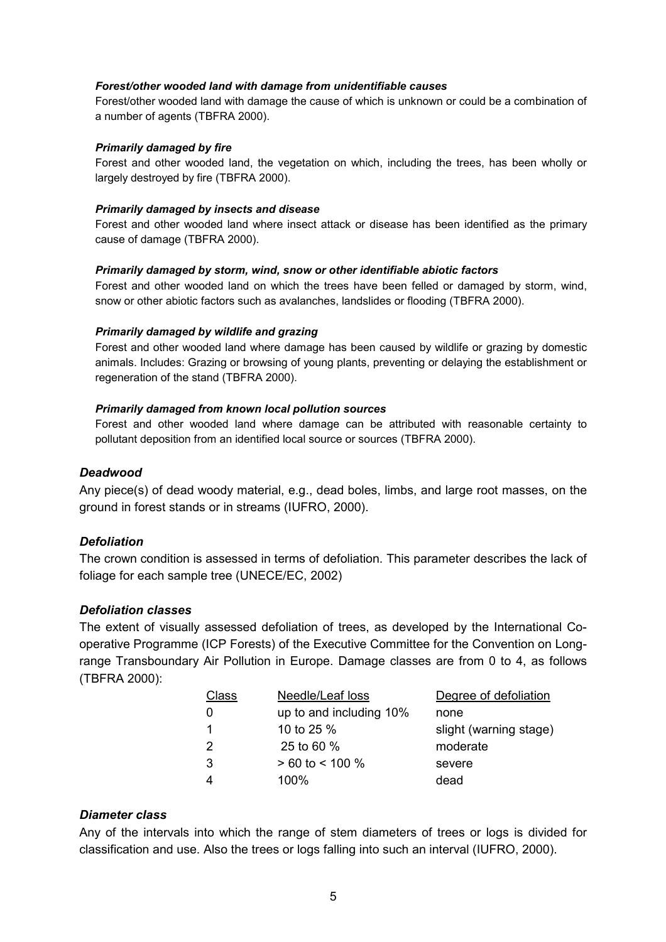#### <span id="page-5-0"></span>*Forest/other wooded land with damage from unidentifiable causes*

Forest/other wooded land with damage the cause of which is unknown or could be a combination of a number of agents (TBFRA 2000).

#### <span id="page-5-1"></span>*Primarily damaged by fire*

Forest and other wooded land, the vegetation on which, including the trees, has been wholly or largely destroyed by fire (TBFRA 2000).

#### <span id="page-5-2"></span>*Primarily damaged by insects and disease*

Forest and other wooded land where insect attack or disease has been identified as the primary cause of damage (TBFRA 2000).

#### <span id="page-5-3"></span>*Primarily damaged by storm, wind, snow or other identifiable abiotic factors*

Forest and other wooded land on which the trees have been felled or damaged by storm, wind, snow or other abiotic factors such as avalanches, landslides or flooding (TBFRA 2000).

#### <span id="page-5-4"></span>*Primarily damaged by wildlife and grazing*

Forest and other wooded land where damage has been caused by wildlife or grazing by domestic animals. Includes: Grazing or browsing of young plants, preventing or delaying the establishment or regeneration of the stand (TBFRA 2000).

#### <span id="page-5-5"></span>*Primarily damaged from known local pollution sources*

Forest and other wooded land where damage can be attributed with reasonable certainty to pollutant deposition from an identified local source or sources (TBFRA 2000).

#### <span id="page-5-6"></span>*Deadwood*

Any piece(s) of dead woody material, e.g., dead boles, limbs, and large root masses, on the ground in forest stands or in streams (IUFRO, 2000).

#### <span id="page-5-7"></span>*Defoliation*

The crown condition is assessed in terms of defoliation. This parameter describes the lack of foliage for each sample tree (UNECE/EC, 2002)

#### <span id="page-5-8"></span>*Defoliation classes*

The extent of visually assessed defoliation of trees, as developed by the International Cooperative Programme (ICP Forests) of the Executive Committee for the Convention on Longrange Transboundary Air Pollution in Europe. Damage classes are from 0 to 4, as follows (TBFRA 2000):

| Class | Needle/Leaf loss        | Degree of defoliation  |
|-------|-------------------------|------------------------|
| 0     | up to and including 10% | none                   |
|       | 10 to 25 %              | slight (warning stage) |
| 2     | 25 to 60 %              | moderate               |
| 3     | $> 60$ to < 100 %       | severe                 |
|       | $100\%$                 | dead                   |

# <span id="page-5-9"></span>*Diameter class*

Any of the intervals into which the range of stem diameters of trees or logs is divided for classification and use. Also the trees or logs falling into such an interval (IUFRO, 2000).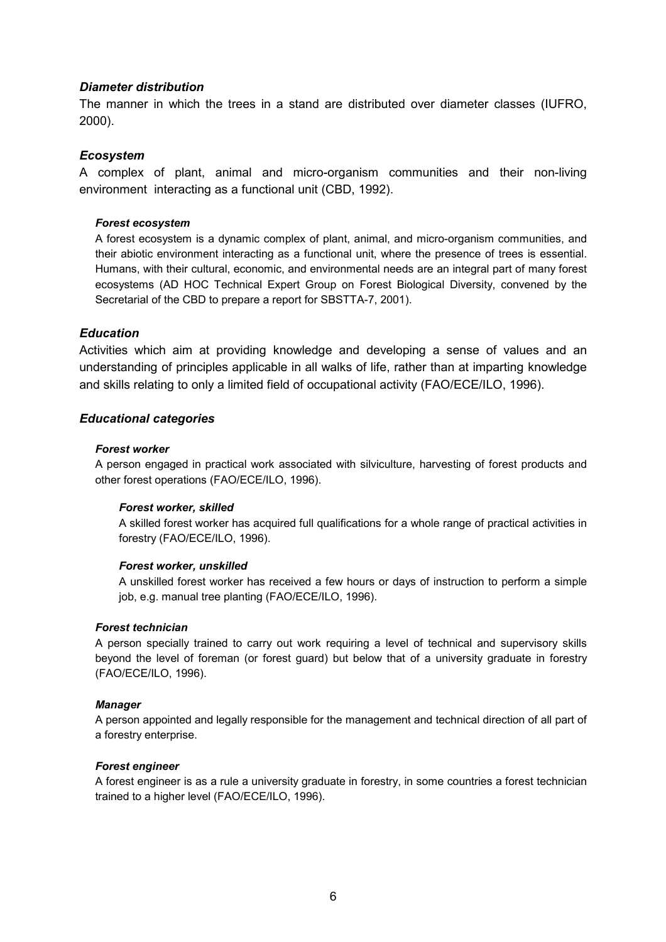#### <span id="page-6-0"></span>*Diameter distribution*

The manner in which the trees in a stand are distributed over diameter classes (IUFRO, 2000).

#### <span id="page-6-1"></span>*Ecosystem*

A complex of plant, animal and micro-organism communities and their non-living environment interacting as a functional unit (CBD, 1992).

#### <span id="page-6-2"></span>*Forest ecosystem*

A forest ecosystem is a dynamic complex of plant, animal, and micro-organism communities, and their abiotic environment interacting as a functional unit, where the presence of trees is essential. Humans, with their cultural, economic, and environmental needs are an integral part of many forest ecosystems (AD HOC Technical Expert Group on Forest Biological Diversity, convened by the Secretarial of the CBD to prepare a report for SBSTTA-7, 2001).

#### <span id="page-6-3"></span>*Education*

Activities which aim at providing knowledge and developing a sense of values and an understanding of principles applicable in all walks of life, rather than at imparting knowledge and skills relating to only a limited field of occupational activity (FAO/ECE/ILO, 1996).

#### <span id="page-6-4"></span>*Educational categories*

#### <span id="page-6-5"></span>*Forest worker*

A person engaged in practical work associated with silviculture, harvesting of forest products and other forest operations (FAO/ECE/ILO, 1996).

#### <span id="page-6-6"></span>*Forest worker, skilled*

A skilled forest worker has acquired full qualifications for a whole range of practical activities in forestry (FAO/ECE/ILO, 1996).

#### <span id="page-6-7"></span>*Forest worker, unskilled*

A unskilled forest worker has received a few hours or days of instruction to perform a simple job, e.g. manual tree planting (FAO/ECE/ILO, 1996).

#### <span id="page-6-8"></span>*Forest technician*

A person specially trained to carry out work requiring a level of technical and supervisory skills beyond the level of foreman (or forest guard) but below that of a university graduate in forestry (FAO/ECE/ILO, 1996).

#### <span id="page-6-9"></span>*Manager*

A person appointed and legally responsible for the management and technical direction of all part of a forestry enterprise.

#### <span id="page-6-10"></span>*Forest engineer*

A forest engineer is as a rule a university graduate in forestry, in some countries a forest technician trained to a higher level (FAO/ECE/ILO, 1996).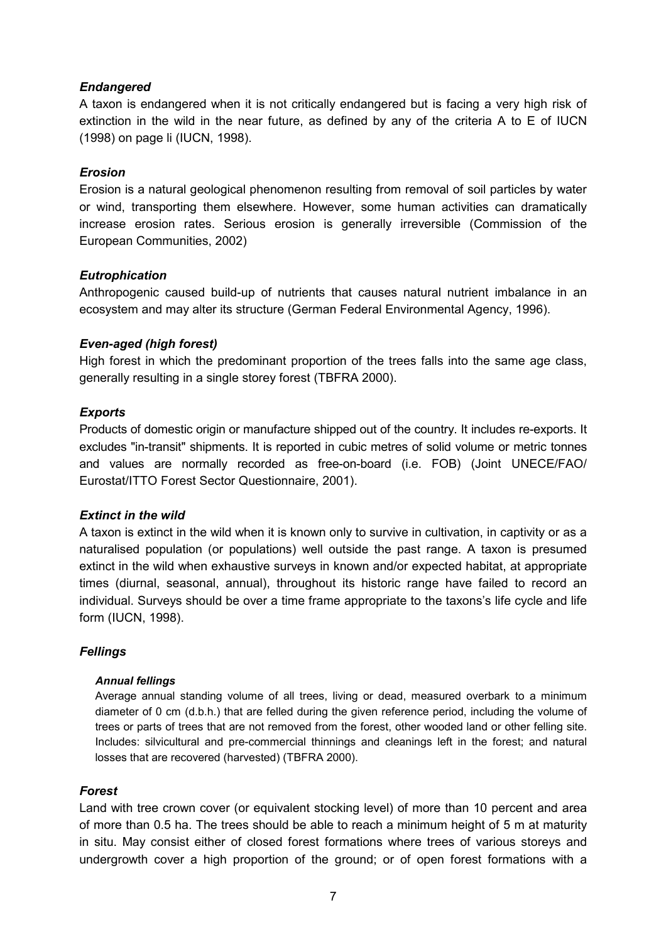# <span id="page-7-0"></span>*Endangered*

A taxon is endangered when it is not critically endangered but is facing a very high risk of extinction in the wild in the near future, as defined by any of the criteria A to E of IUCN (1998) on page li (IUCN, 1998).

# <span id="page-7-1"></span>*Erosion*

Erosion is a natural geological phenomenon resulting from removal of soil particles by water or wind, transporting them elsewhere. However, some human activities can dramatically increase erosion rates. Serious erosion is generally irreversible (Commission of the European Communities, 2002)

# <span id="page-7-2"></span>*Eutrophication*

Anthropogenic caused build-up of nutrients that causes natural nutrient imbalance in an ecosystem and may alter its structure (German Federal Environmental Agency, 1996).

# <span id="page-7-3"></span>*Even-aged (high forest)*

High forest in which the predominant proportion of the trees falls into the same age class, generally resulting in a single storey forest (TBFRA 2000).

# <span id="page-7-4"></span>*Exports*

Products of domestic origin or manufacture shipped out of the country. It includes re-exports. It excludes "in-transit" shipments. It is reported in cubic metres of solid volume or metric tonnes and values are normally recorded as free-on-board (i.e. FOB) (Joint UNECE/FAO/ Eurostat/ITTO Forest Sector Questionnaire, 2001).

#### <span id="page-7-5"></span>*Extinct in the wild*

A taxon is extinct in the wild when it is known only to survive in cultivation, in captivity or as a naturalised population (or populations) well outside the past range. A taxon is presumed extinct in the wild when exhaustive surveys in known and/or expected habitat, at appropriate times (diurnal, seasonal, annual), throughout its historic range have failed to record an individual. Surveys should be over a time frame appropriate to the taxons's life cycle and life form (IUCN, 1998).

# <span id="page-7-6"></span>*Fellings*

#### <span id="page-7-7"></span>*Annual fellings*

Average annual standing volume of all trees, living or dead, measured overbark to a minimum diameter of 0 cm (d.b.h.) that are felled during the given reference period, including the volume of trees or parts of trees that are not removed from the forest, other wooded land or other felling site. Includes: silvicultural and pre-commercial thinnings and cleanings left in the forest; and natural losses that are recovered (harvested) (TBFRA 2000).

#### <span id="page-7-8"></span>*Forest*

Land with tree crown cover (or equivalent stocking level) of more than 10 percent and area of more than 0.5 ha. The trees should be able to reach a minimum height of 5 m at maturity in situ. May consist either of closed forest formations where trees of various storeys and undergrowth cover a high proportion of the ground; or of open forest formations with a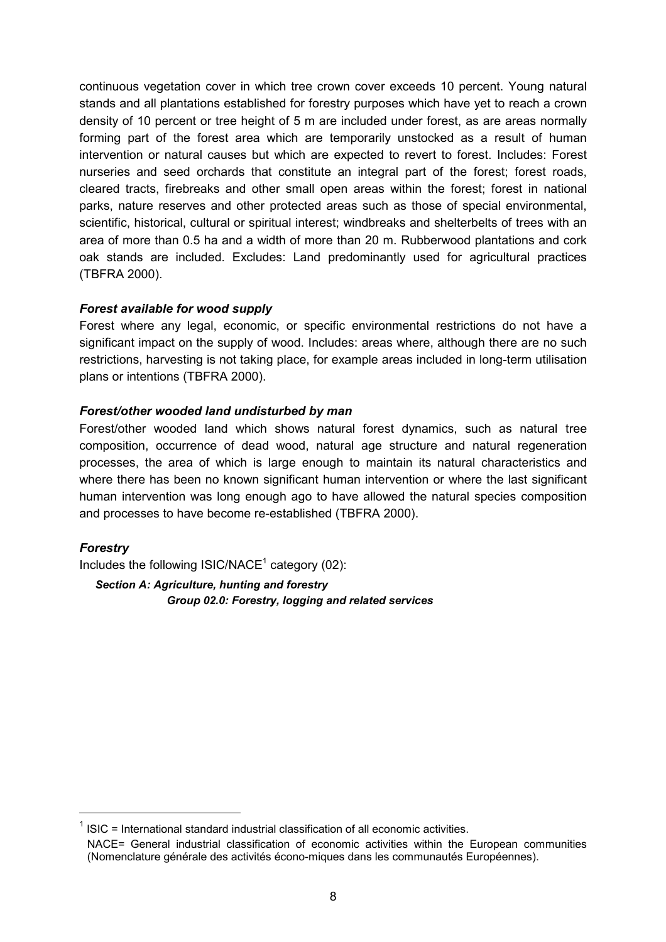continuous vegetation cover in which tree crown cover exceeds 10 percent. Young natural stands and all plantations established for forestry purposes which have yet to reach a crown density of 10 percent or tree height of 5 m are included under forest, as are areas normally forming part of the forest area which are temporarily unstocked as a result of human intervention or natural causes but which are expected to revert to forest. Includes: Forest nurseries and seed orchards that constitute an integral part of the forest; forest roads, cleared tracts, firebreaks and other small open areas within the forest; forest in national parks, nature reserves and other protected areas such as those of special environmental, scientific, historical, cultural or spiritual interest; windbreaks and shelterbelts of trees with an area of more than 0.5 ha and a width of more than 20 m. Rubberwood plantations and cork oak stands are included. Excludes: Land predominantly used for agricultural practices (TBFRA 2000).

# <span id="page-8-0"></span>*Forest available for wood supply*

Forest where any legal, economic, or specific environmental restrictions do not have a significant impact on the supply of wood. Includes: areas where, although there are no such restrictions, harvesting is not taking place, for example areas included in long-term utilisation plans or intentions (TBFRA 2000).

# <span id="page-8-1"></span>*Forest/other wooded land undisturbed by man*

Forest/other wooded land which shows natural forest dynamics, such as natural tree composition, occurrence of dead wood, natural age structure and natural regeneration processes, the area of which is large enough to maintain its natural characteristics and where there has been no known significant human intervention or where the last significant human intervention was long enough ago to have allowed the natural species composition and processes to have become re-established (TBFRA 2000).

# <span id="page-8-2"></span>*Forestry*

Includes the following  $ISIC/NACE<sup>1</sup>$  $ISIC/NACE<sup>1</sup>$  $ISIC/NACE<sup>1</sup>$  category (02):

<span id="page-8-4"></span><span id="page-8-3"></span>*Section A: Agriculture, hunting and forestry Group 02.0: Forestry, logging and related services*

<span id="page-8-5"></span> $ISIC = International standard industrial classification of all economic activities.$ 

NACE= General industrial classification of economic activities within the European communities (Nomenclature générale des activités écono-miques dans les communautés Européennes).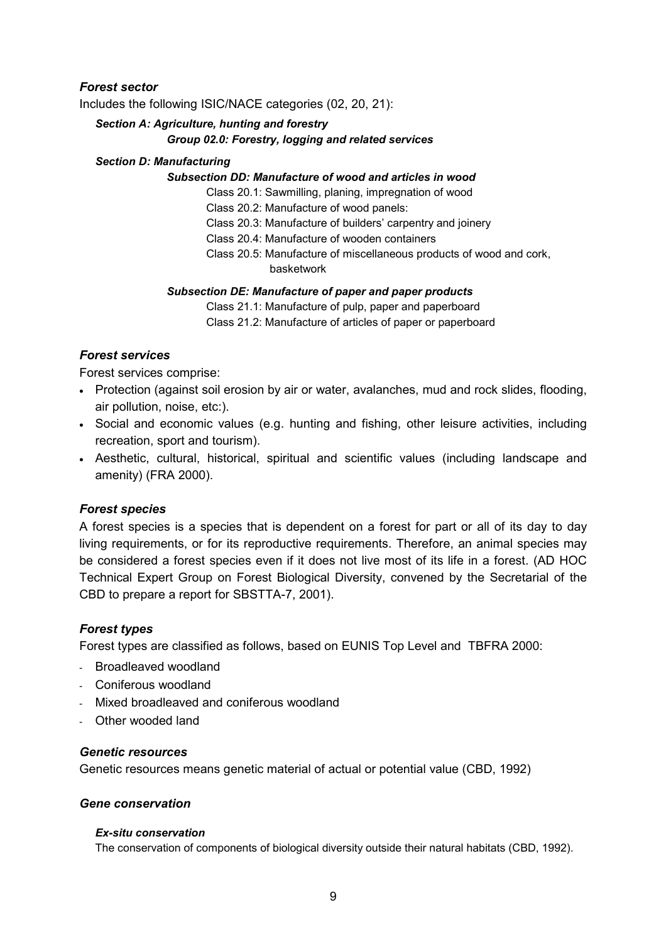# <span id="page-9-0"></span>*Forest sector*

Includes the following ISIC/NACE categories (02, 20, 21):

# <span id="page-9-1"></span>*Section A: Agriculture, hunting and forestry*

# <span id="page-9-2"></span>*Group 02.0: Forestry, logging and related services*

#### <span id="page-9-3"></span>*Section D: Manufacturing*

#### <span id="page-9-4"></span>*Subsection DD: Manufacture of wood and articles in wood*

Class 20.1: Sawmilling, planing, impregnation of wood

Class 20.2: Manufacture of wood panels:

Class 20.3: Manufacture of builders' carpentry and joinery

Class 20.4: Manufacture of wooden containers

Class 20.5: Manufacture of miscellaneous products of wood and cork, basketwork

#### <span id="page-9-5"></span>*Subsection DE: Manufacture of paper and paper products*

Class 21.1: Manufacture of pulp, paper and paperboard Class 21.2: Manufacture of articles of paper or paperboard

# <span id="page-9-6"></span>*Forest services*

Forest services comprise:

- Protection (against soil erosion by air or water, avalanches, mud and rock slides, flooding, air pollution, noise, etc:).
- Social and economic values (e.g. hunting and fishing, other leisure activities, including recreation, sport and tourism).
- Aesthetic, cultural, historical, spiritual and scientific values (including landscape and amenity) (FRA 2000).

#### <span id="page-9-7"></span>*Forest species*

A forest species is a species that is dependent on a forest for part or all of its day to day living requirements, or for its reproductive requirements. Therefore, an animal species may be considered a forest species even if it does not live most of its life in a forest. (AD HOC Technical Expert Group on Forest Biological Diversity, convened by the Secretarial of the CBD to prepare a report for SBSTTA-7, 2001).

#### <span id="page-9-8"></span>*Forest types*

Forest types are classified as follows, based on EUNIS Top Level and TBFRA 2000:

- Broadleaved woodland
- Coniferous woodland
- Mixed broadleaved and coniferous woodland
- Other wooded land

### <span id="page-9-9"></span>*Genetic resources*

Genetic resources means genetic material of actual or potential value (CBD, 1992)

#### <span id="page-9-10"></span>*Gene conservation*

#### <span id="page-9-11"></span>*Ex-situ conservation*

The conservation of components of biological diversity outside their natural habitats (CBD, 1992).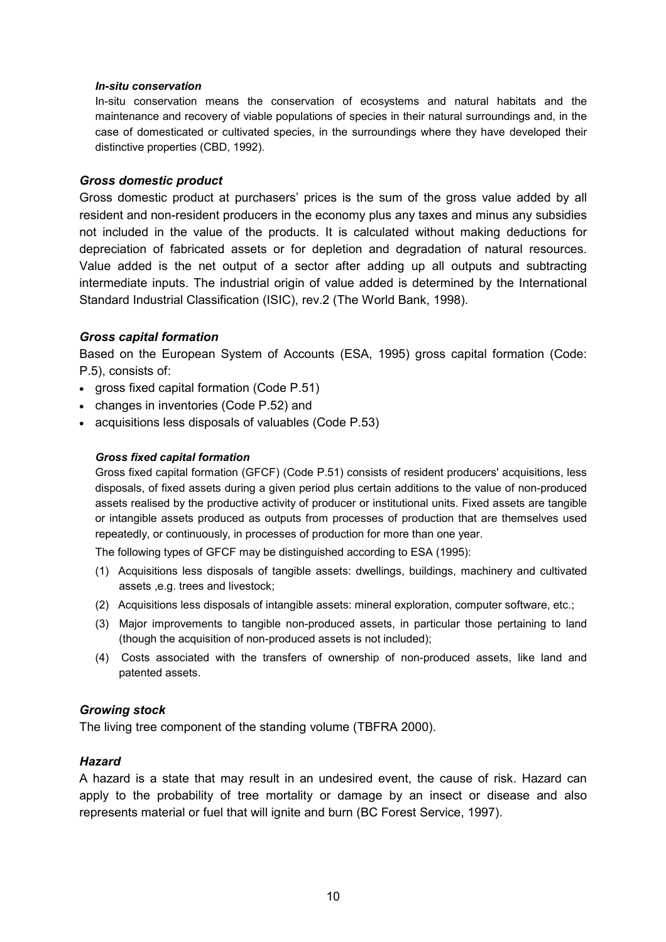#### <span id="page-10-0"></span>*In-situ conservation*

In-situ conservation means the conservation of ecosystems and natural habitats and the maintenance and recovery of viable populations of species in their natural surroundings and, in the case of domesticated or cultivated species, in the surroundings where they have developed their distinctive properties (CBD, 1992).

#### <span id="page-10-1"></span>*Gross domestic product*

Gross domestic product at purchasersí prices is the sum of the gross value added by all resident and non-resident producers in the economy plus any taxes and minus any subsidies not included in the value of the products. It is calculated without making deductions for depreciation of fabricated assets or for depletion and degradation of natural resources. Value added is the net output of a sector after adding up all outputs and subtracting intermediate inputs. The industrial origin of value added is determined by the International Standard Industrial Classification (ISIC), rev.2 (The World Bank, 1998).

#### <span id="page-10-2"></span>*Gross capital formation*

Based on the European System of Accounts (ESA, 1995) gross capital formation (Code: P.5), consists of:

- gross fixed capital formation (Code P.51)
- changes in inventories (Code P.52) and
- acquisitions less disposals of valuables (Code P.53)

#### <span id="page-10-3"></span>*Gross fixed capital formation*

Gross fixed capital formation (GFCF) (Code P.51) consists of resident producers' acquisitions, less disposals, of fixed assets during a given period plus certain additions to the value of non-produced assets realised by the productive activity of producer or institutional units. Fixed assets are tangible or intangible assets produced as outputs from processes of production that are themselves used repeatedly, or continuously, in processes of production for more than one year.

The following types of GFCF may be distinguished according to ESA (1995):

- (1) Acquisitions less disposals of tangible assets: dwellings, buildings, machinery and cultivated assets ,e.g. trees and livestock;
- (2) Acquisitions less disposals of intangible assets: mineral exploration, computer software, etc.;
- (3) Major improvements to tangible non-produced assets, in particular those pertaining to land (though the acquisition of non-produced assets is not included);
- (4) Costs associated with the transfers of ownership of non-produced assets, like land and patented assets.

#### <span id="page-10-4"></span>*Growing stock*

The living tree component of the standing volume (TBFRA 2000).

#### <span id="page-10-5"></span>*Hazard*

A hazard is a state that may result in an undesired event, the cause of risk. Hazard can apply to the probability of tree mortality or damage by an insect or disease and also represents material or fuel that will ignite and burn (BC Forest Service, 1997).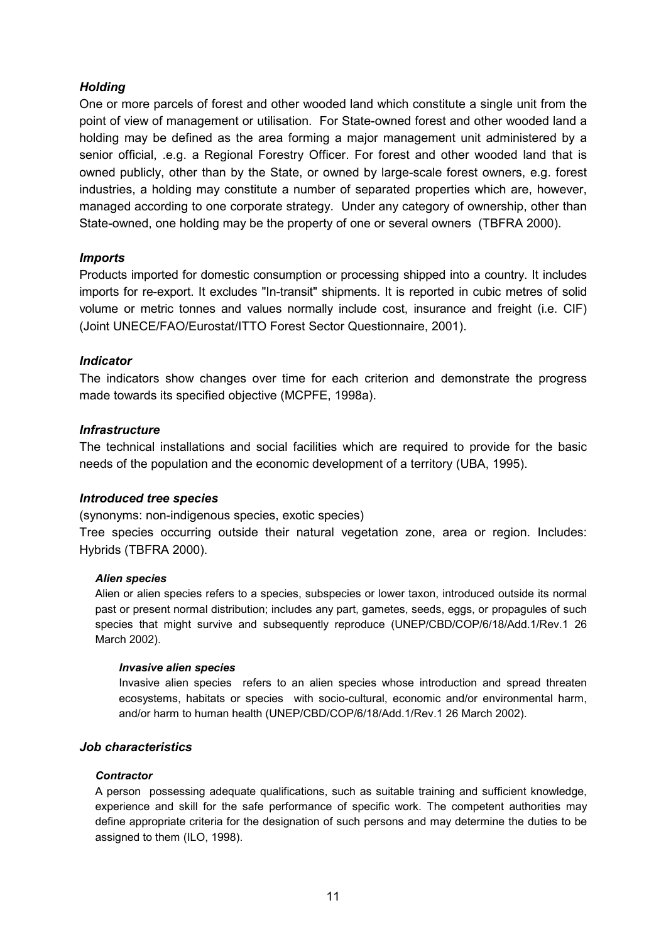# <span id="page-11-0"></span>*Holding*

One or more parcels of forest and other wooded land which constitute a single unit from the point of view of management or utilisation. For State-owned forest and other wooded land a holding may be defined as the area forming a major management unit administered by a senior official, .e.g. a Regional Forestry Officer. For forest and other wooded land that is owned publicly, other than by the State, or owned by large-scale forest owners, e.g. forest industries, a holding may constitute a number of separated properties which are, however, managed according to one corporate strategy. Under any category of ownership, other than State-owned, one holding may be the property of one or several owners (TBFRA 2000).

#### <span id="page-11-1"></span>*Imports*

Products imported for domestic consumption or processing shipped into a country. It includes imports for re-export. It excludes "In-transit" shipments. It is reported in cubic metres of solid volume or metric tonnes and values normally include cost, insurance and freight (i.e. CIF) (Joint UNECE/FAO/Eurostat/ITTO Forest Sector Questionnaire, 2001).

#### <span id="page-11-2"></span>*Indicator*

The indicators show changes over time for each criterion and demonstrate the progress made towards its specified objective (MCPFE, 1998a).

#### <span id="page-11-3"></span>*Infrastructure*

The technical installations and social facilities which are required to provide for the basic needs of the population and the economic development of a territory (UBA, 1995).

#### <span id="page-11-4"></span>*Introduced tree species*

(synonyms: non-indigenous species, exotic species)

Tree species occurring outside their natural vegetation zone, area or region. Includes: Hybrids (TBFRA 2000).

#### <span id="page-11-5"></span>*Alien species*

Alien or alien species refers to a species, subspecies or lower taxon, introduced outside its normal past or present normal distribution; includes any part, gametes, seeds, eggs, or propagules of such species that might survive and subsequently reproduce (UNEP/CBD/COP/6/18/Add.1/Rev.1 26 March 2002).

#### <span id="page-11-6"></span>*Invasive alien species*

Invasive alien species refers to an alien species whose introduction and spread threaten ecosystems, habitats or species with socio-cultural, economic and/or environmental harm, and/or harm to human health (UNEP/CBD/COP/6/18/Add.1/Rev.1 26 March 2002).

#### <span id="page-11-7"></span>*Job characteristics*

#### <span id="page-11-8"></span>*Contractor*

A person possessing adequate qualifications, such as suitable training and sufficient knowledge, experience and skill for the safe performance of specific work. The competent authorities may define appropriate criteria for the designation of such persons and may determine the duties to be assigned to them (ILO, 1998).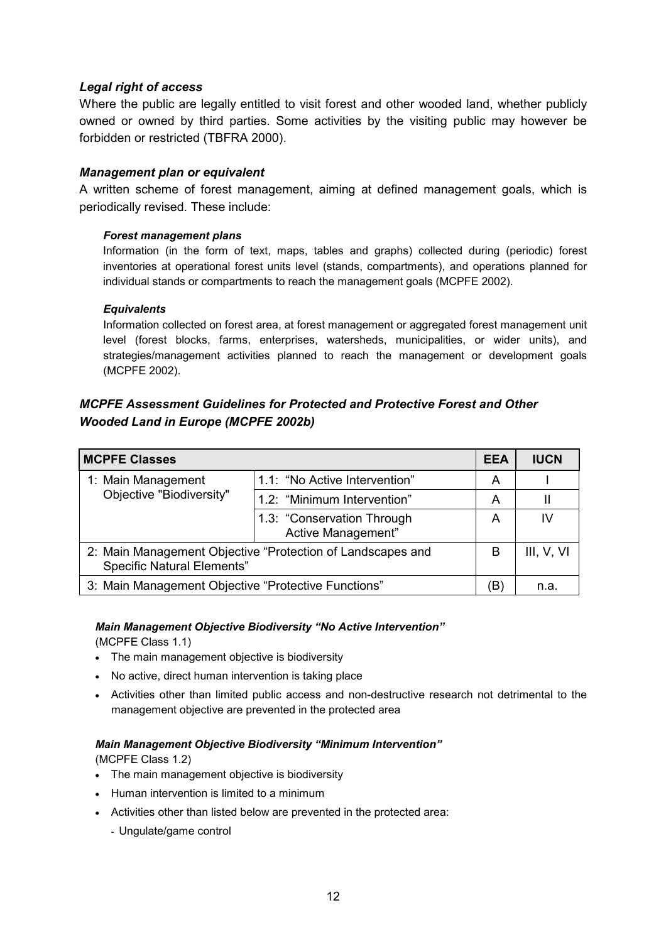### <span id="page-12-0"></span>*Legal right of access*

Where the public are legally entitled to visit forest and other wooded land, whether publicly owned or owned by third parties. Some activities by the visiting public may however be forbidden or restricted (TBFRA 2000).

#### <span id="page-12-1"></span>*Management plan or equivalent*

A written scheme of forest management, aiming at defined management goals, which is periodically revised. These include:

#### <span id="page-12-2"></span>*Forest management plans*

Information (in the form of text, maps, tables and graphs) collected during (periodic) forest inventories at operational forest units level (stands, compartments), and operations planned for individual stands or compartments to reach the management goals (MCPFE 2002).

#### <span id="page-12-3"></span>*Equivalents*

Information collected on forest area, at forest management or aggregated forest management unit level (forest blocks, farms, enterprises, watersheds, municipalities, or wider units), and strategies/management activities planned to reach the management or development goals (MCPFE 2002).

# <span id="page-12-4"></span>*MCPFE Assessment Guidelines for Protected and Protective Forest and Other Wooded Land in Europe (MCPFE 2002b)*

| <b>MCPFE Classes</b>                                                                            |                                                  | <b>EEA</b> | <b>IUCN</b> |
|-------------------------------------------------------------------------------------------------|--------------------------------------------------|------------|-------------|
| 1: Main Management<br>Objective "Biodiversity"                                                  | 1.1: "No Active Intervention"                    | A          |             |
|                                                                                                 | 1.2: "Minimum Intervention"                      | A          |             |
|                                                                                                 | 1.3: "Conservation Through<br>Active Management" | A          | IV          |
| 2: Main Management Objective "Protection of Landscapes and<br><b>Specific Natural Elements"</b> |                                                  | B          | III, V, VI  |
| 3: Main Management Objective "Protective Functions"                                             |                                                  | (B)        | n.a.        |

#### <span id="page-12-5"></span>**Main Management Objective Biodiversity "No Active Intervention"**

(MCPFE Class 1.1)

- The main management objective is biodiversity
- No active, direct human intervention is taking place
- Activities other than limited public access and non-destructive research not detrimental to the management objective are prevented in the protected area

#### <span id="page-12-6"></span>**Main Management Objective Biodiversity "Minimum Intervention"**

(MCPFE Class 1.2)

- The main management objective is biodiversity
- Human intervention is limited to a minimum
- Activities other than listed below are prevented in the protected area:
	- Ungulate/game control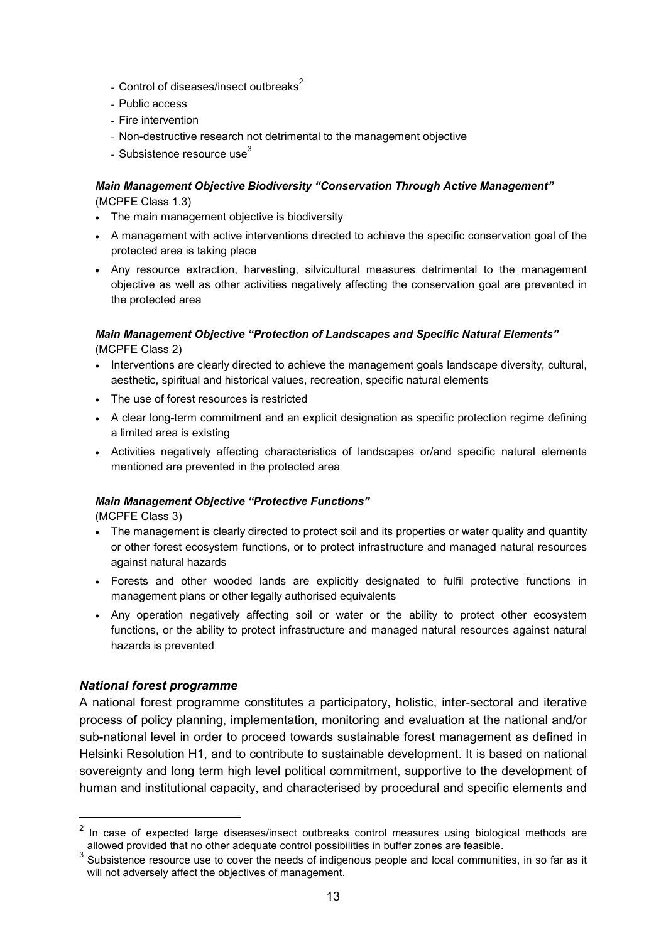- Control of diseases/insect outbreaks $2$
- Public access
- Fire intervention
- Non-destructive research not detrimental to the management objective
- Subsistence resource use $3$

# <span id="page-13-0"></span>**Main Management Objective Biodiversity "Conservation Through Active Management"**

(MCPFE Class 1.3)

- The main management objective is biodiversity
- A management with active interventions directed to achieve the specific conservation goal of the protected area is taking place
- Any resource extraction, harvesting, silvicultural measures detrimental to the management objective as well as other activities negatively affecting the conservation goal are prevented in the protected area

#### <span id="page-13-1"></span>*Main Management Objective "Protection of Landscapes and Specific Natural Elements"* (MCPFE Class 2)

- Interventions are clearly directed to achieve the management goals landscape diversity, cultural, aesthetic, spiritual and historical values, recreation, specific natural elements
- The use of forest resources is restricted
- A clear long-term commitment and an explicit designation as specific protection regime defining a limited area is existing
- Activities negatively affecting characteristics of landscapes or/and specific natural elements mentioned are prevented in the protected area

#### <span id="page-13-2"></span>**Main Management Objective "Protective Functions"**

(MCPFE Class 3)

- The management is clearly directed to protect soil and its properties or water quality and quantity or other forest ecosystem functions, or to protect infrastructure and managed natural resources against natural hazards
- Forests and other wooded lands are explicitly designated to fulfil protective functions in management plans or other legally authorised equivalents
- Any operation negatively affecting soil or water or the ability to protect other ecosystem functions, or the ability to protect infrastructure and managed natural resources against natural hazards is prevented

#### <span id="page-13-3"></span>*National forest programme*

A national forest programme constitutes a participatory, holistic, inter-sectoral and iterative process of policy planning, implementation, monitoring and evaluation at the national and/or sub-national level in order to proceed towards sustainable forest management as defined in Helsinki Resolution H1, and to contribute to sustainable development. It is based on national sovereignty and long term high level political commitment, supportive to the development of human and institutional capacity, and characterised by procedural and specific elements and

<span id="page-13-4"></span> $2$  In case of expected large diseases/insect outbreaks control measures using biological methods are allowed provided that no other adequate control possibilities in buffer zones are feasible.

<span id="page-13-5"></span>allowed provided that no other adequate control possibilities in buffer zones are feasible.<br><sup>3</sup> Subsistence resource use to cover the needs of indigenous people and local communities, in so far as it will not adversely affect the objectives of management.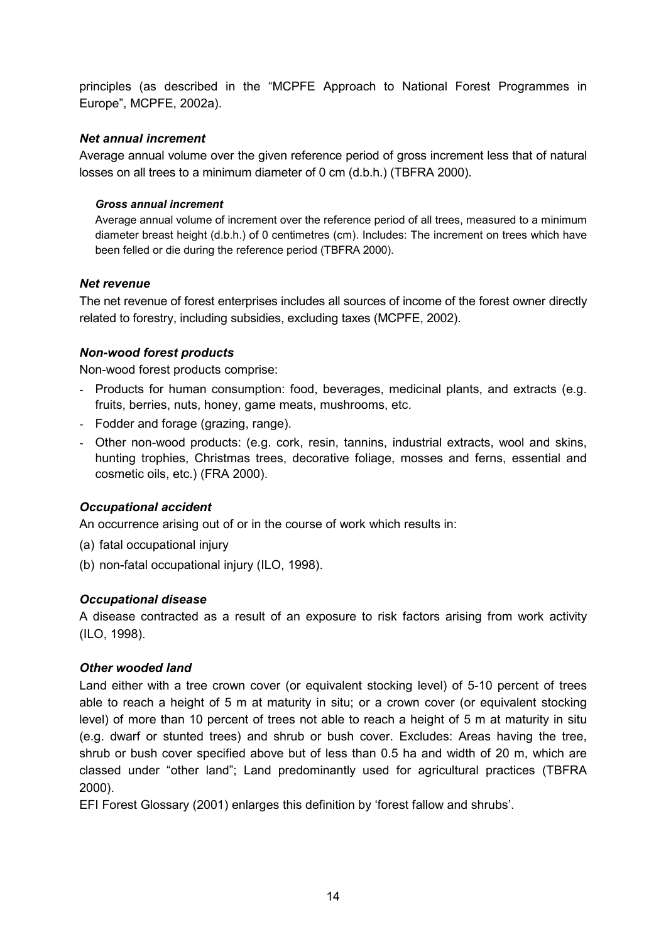principles (as described in the "MCPFE Approach to National Forest Programmes in Europe", MCPFE, 2002a).

# <span id="page-14-0"></span>*Net annual increment*

Average annual volume over the given reference period of gross increment less that of natural losses on all trees to a minimum diameter of 0 cm (d.b.h.) (TBFRA 2000).

### <span id="page-14-1"></span>*Gross annual increment*

Average annual volume of increment over the reference period of all trees, measured to a minimum diameter breast height (d.b.h.) of 0 centimetres (cm). Includes: The increment on trees which have been felled or die during the reference period (TBFRA 2000).

# <span id="page-14-2"></span>*Net revenue*

The net revenue of forest enterprises includes all sources of income of the forest owner directly related to forestry, including subsidies, excluding taxes (MCPFE, 2002).

# <span id="page-14-3"></span>*Non-wood forest products*

Non-wood forest products comprise:

- Products for human consumption: food, beverages, medicinal plants, and extracts (e.g. fruits, berries, nuts, honey, game meats, mushrooms, etc.
- Fodder and forage (grazing, range).
- Other non-wood products: (e.g. cork, resin, tannins, industrial extracts, wool and skins, hunting trophies, Christmas trees, decorative foliage, mosses and ferns, essential and cosmetic oils, etc.) (FRA 2000).

# <span id="page-14-4"></span>*Occupational accident*

An occurrence arising out of or in the course of work which results in:

- (a) fatal occupational injury
- (b) non-fatal occupational injury (ILO, 1998).

# <span id="page-14-5"></span>*Occupational disease*

A disease contracted as a result of an exposure to risk factors arising from work activity (ILO, 1998).

#### <span id="page-14-6"></span>*Other wooded land*

Land either with a tree crown cover (or equivalent stocking level) of 5-10 percent of trees able to reach a height of 5 m at maturity in situ; or a crown cover (or equivalent stocking level) of more than 10 percent of trees not able to reach a height of 5 m at maturity in situ (e.g. dwarf or stunted trees) and shrub or bush cover. Excludes: Areas having the tree, shrub or bush cover specified above but of less than 0.5 ha and width of 20 m, which are classed under "other land"; Land predominantly used for agricultural practices (TBFRA 2000).

EFI Forest Glossary (2001) enlarges this definition by 'forest fallow and shrubs'.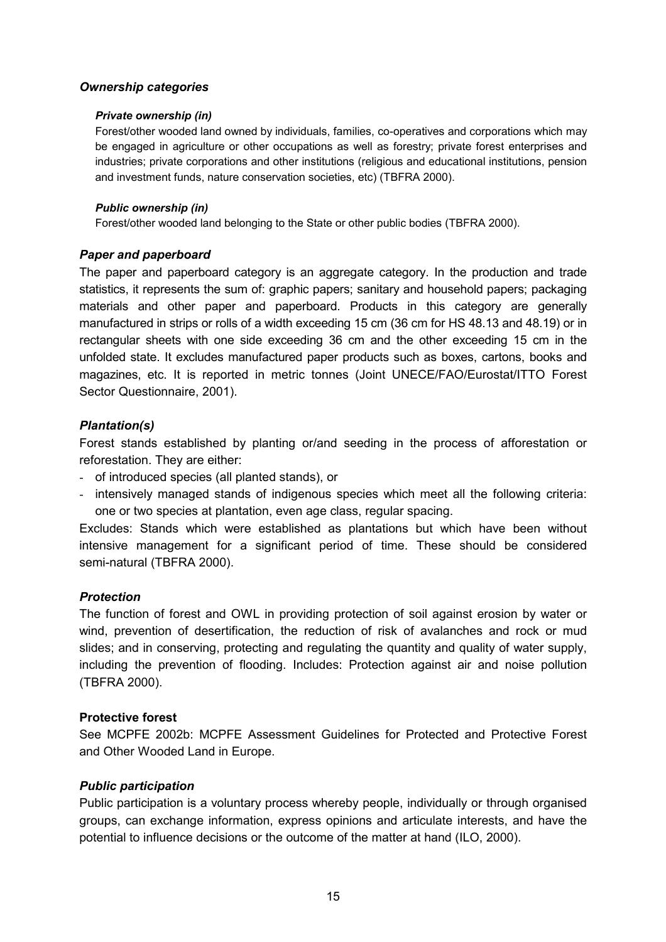#### <span id="page-15-0"></span>*Ownership categories*

#### <span id="page-15-1"></span>*Private ownership (in)*

Forest/other wooded land owned by individuals, families, co-operatives and corporations which may be engaged in agriculture or other occupations as well as forestry; private forest enterprises and industries; private corporations and other institutions (religious and educational institutions, pension and investment funds, nature conservation societies, etc) (TBFRA 2000).

#### <span id="page-15-2"></span>*Public ownership (in)*

Forest/other wooded land belonging to the State or other public bodies (TBFRA 2000).

# <span id="page-15-3"></span>*Paper and paperboard*

The paper and paperboard category is an aggregate category. In the production and trade statistics, it represents the sum of: graphic papers; sanitary and household papers; packaging materials and other paper and paperboard. Products in this category are generally manufactured in strips or rolls of a width exceeding 15 cm (36 cm for HS 48.13 and 48.19) or in rectangular sheets with one side exceeding 36 cm and the other exceeding 15 cm in the unfolded state. It excludes manufactured paper products such as boxes, cartons, books and magazines, etc. It is reported in metric tonnes (Joint UNECE/FAO/Eurostat/ITTO Forest Sector Questionnaire, 2001).

# <span id="page-15-4"></span>*Plantation(s)*

Forest stands established by planting or/and seeding in the process of afforestation or reforestation. They are either:

- of introduced species (all planted stands), or
- intensively managed stands of indigenous species which meet all the following criteria: one or two species at plantation, even age class, regular spacing.

Excludes: Stands which were established as plantations but which have been without intensive management for a significant period of time. These should be considered semi-natural (TBFRA 2000).

#### <span id="page-15-5"></span>*Protection*

The function of forest and OWL in providing protection of soil against erosion by water or wind, prevention of desertification, the reduction of risk of avalanches and rock or mud slides; and in conserving, protecting and regulating the quantity and quality of water supply, including the prevention of flooding. Includes: Protection against air and noise pollution (TBFRA 2000).

#### **Protective forest**

See MCPFE 2002b: MCPFE Assessment Guidelines for Protected and Protective Forest and Other Wooded Land in Europe.

#### <span id="page-15-6"></span>*Public participation*

Public participation is a voluntary process whereby people, individually or through organised groups, can exchange information, express opinions and articulate interests, and have the potential to influence decisions or the outcome of the matter at hand (ILO, 2000).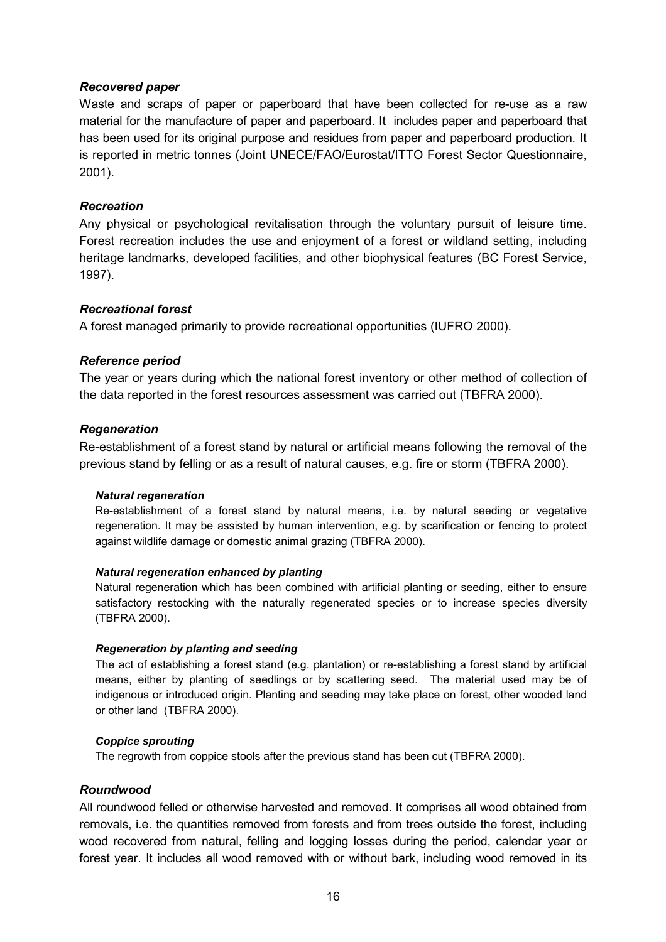# <span id="page-16-0"></span>*Recovered paper*

Waste and scraps of paper or paperboard that have been collected for re-use as a raw material for the manufacture of paper and paperboard. It includes paper and paperboard that has been used for its original purpose and residues from paper and paperboard production. It is reported in metric tonnes (Joint UNECE/FAO/Eurostat/ITTO Forest Sector Questionnaire, 2001).

# <span id="page-16-1"></span>*Recreation*

Any physical or psychological revitalisation through the voluntary pursuit of leisure time. Forest recreation includes the use and enjoyment of a forest or wildland setting, including heritage landmarks, developed facilities, and other biophysical features (BC Forest Service, 1997).

# <span id="page-16-2"></span>*Recreational forest*

A forest managed primarily to provide recreational opportunities (IUFRO 2000).

# <span id="page-16-3"></span>*Reference period*

The year or years during which the national forest inventory or other method of collection of the data reported in the forest resources assessment was carried out (TBFRA 2000).

# <span id="page-16-4"></span>*Regeneration*

Re-establishment of a forest stand by natural or artificial means following the removal of the previous stand by felling or as a result of natural causes, e.g. fire or storm (TBFRA 2000).

#### <span id="page-16-5"></span>*Natural regeneration*

Re-establishment of a forest stand by natural means, i.e. by natural seeding or vegetative regeneration. It may be assisted by human intervention, e.g. by scarification or fencing to protect against wildlife damage or domestic animal grazing (TBFRA 2000).

#### <span id="page-16-6"></span>*Natural regeneration enhanced by planting*

Natural regeneration which has been combined with artificial planting or seeding, either to ensure satisfactory restocking with the naturally regenerated species or to increase species diversity (TBFRA 2000).

#### <span id="page-16-7"></span>*Regeneration by planting and seeding*

The act of establishing a forest stand (e.g. plantation) or re-establishing a forest stand by artificial means, either by planting of seedlings or by scattering seed. The material used may be of indigenous or introduced origin. Planting and seeding may take place on forest, other wooded land or other land (TBFRA 2000).

#### <span id="page-16-8"></span>*Coppice sprouting*

The regrowth from coppice stools after the previous stand has been cut (TBFRA 2000).

#### <span id="page-16-9"></span>*Roundwood*

All roundwood felled or otherwise harvested and removed. It comprises all wood obtained from removals, i.e. the quantities removed from forests and from trees outside the forest, including wood recovered from natural, felling and logging losses during the period, calendar year or forest year. It includes all wood removed with or without bark, including wood removed in its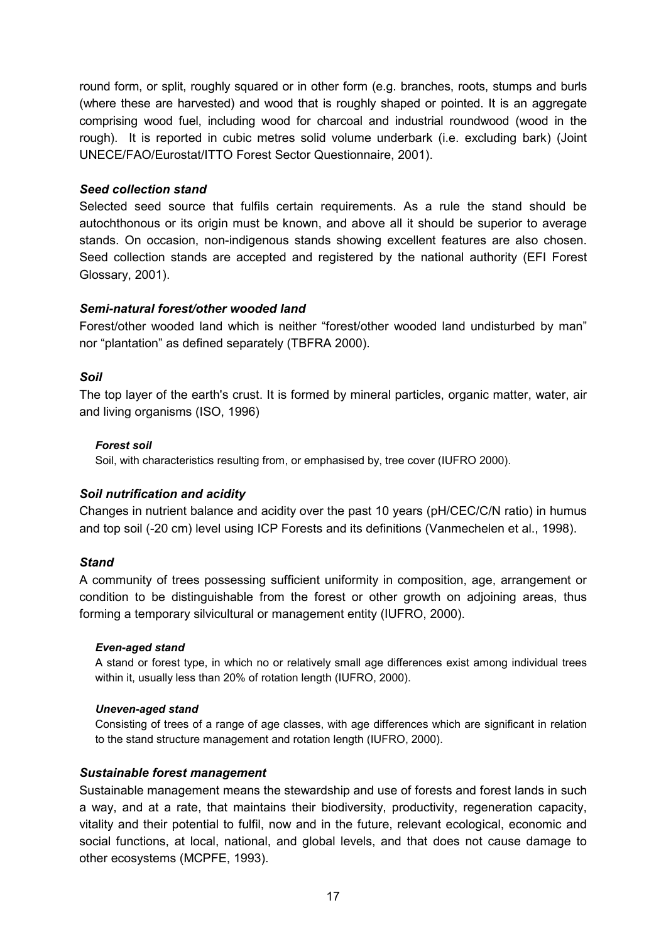round form, or split, roughly squared or in other form (e.g. branches, roots, stumps and burls (where these are harvested) and wood that is roughly shaped or pointed. It is an aggregate comprising wood fuel, including wood for charcoal and industrial roundwood (wood in the rough). It is reported in cubic metres solid volume underbark (i.e. excluding bark) (Joint UNECE/FAO/Eurostat/ITTO Forest Sector Questionnaire, 2001).

#### <span id="page-17-0"></span>*Seed collection stand*

Selected seed source that fulfils certain requirements. As a rule the stand should be autochthonous or its origin must be known, and above all it should be superior to average stands. On occasion, non-indigenous stands showing excellent features are also chosen. Seed collection stands are accepted and registered by the national authority (EFI Forest Glossary, 2001).

# <span id="page-17-1"></span>*Semi-natural forest/other wooded land*

Forest/other wooded land which is neither "forest/other wooded land undisturbed by man" nor "plantation" as defined separately (TBFRA 2000).

#### <span id="page-17-2"></span>*Soil*

The top layer of the earth's crust. It is formed by mineral particles, organic matter, water, air and living organisms (ISO, 1996)

#### <span id="page-17-3"></span>*Forest soil*

Soil, with characteristics resulting from, or emphasised by, tree cover (IUFRO 2000).

#### <span id="page-17-4"></span>*Soil nutrification and acidity*

Changes in nutrient balance and acidity over the past 10 years (pH/CEC/C/N ratio) in humus and top soil (-20 cm) level using ICP Forests and its definitions (Vanmechelen et al., 1998).

#### <span id="page-17-5"></span>*Stand*

A community of trees possessing sufficient uniformity in composition, age, arrangement or condition to be distinguishable from the forest or other growth on adjoining areas, thus forming a temporary silvicultural or management entity (IUFRO, 2000).

#### <span id="page-17-6"></span>*Even-aged stand*

A stand or forest type, in which no or relatively small age differences exist among individual trees within it, usually less than 20% of rotation length (IUFRO, 2000).

#### <span id="page-17-7"></span>*Uneven-aged stand*

Consisting of trees of a range of age classes, with age differences which are significant in relation to the stand structure management and rotation length (IUFRO, 2000).

#### <span id="page-17-8"></span>*Sustainable forest management*

Sustainable management means the stewardship and use of forests and forest lands in such a way, and at a rate, that maintains their biodiversity, productivity, regeneration capacity, vitality and their potential to fulfil, now and in the future, relevant ecological, economic and social functions, at local, national, and global levels, and that does not cause damage to other ecosystems (MCPFE, 1993).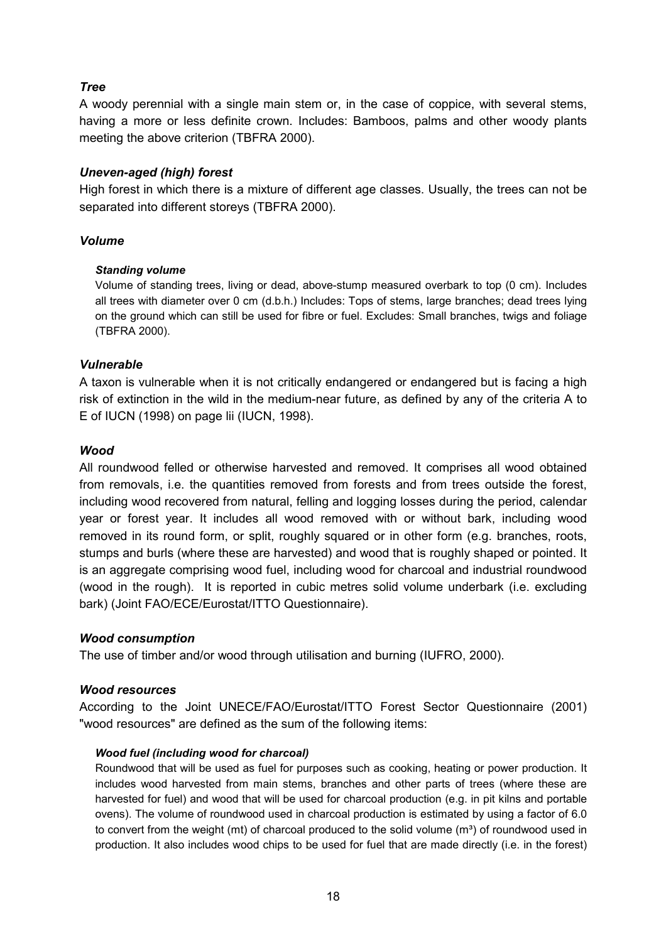# <span id="page-18-0"></span>*Tree*

A woody perennial with a single main stem or, in the case of coppice, with several stems, having a more or less definite crown. Includes: Bamboos, palms and other woody plants meeting the above criterion (TBFRA 2000).

#### <span id="page-18-1"></span>*Uneven-aged (high) forest*

High forest in which there is a mixture of different age classes. Usually, the trees can not be separated into different storeys (TBFRA 2000).

#### <span id="page-18-2"></span>*Volume*

#### <span id="page-18-3"></span>*Standing volume*

Volume of standing trees, living or dead, above-stump measured overbark to top (0 cm). Includes all trees with diameter over 0 cm (d.b.h.) Includes: Tops of stems, large branches; dead trees lying on the ground which can still be used for fibre or fuel. Excludes: Small branches, twigs and foliage (TBFRA 2000).

#### <span id="page-18-4"></span>*Vulnerable*

A taxon is vulnerable when it is not critically endangered or endangered but is facing a high risk of extinction in the wild in the medium-near future, as defined by any of the criteria A to E of IUCN (1998) on page lii (IUCN, 1998).

#### <span id="page-18-5"></span>*Wood*

All roundwood felled or otherwise harvested and removed. It comprises all wood obtained from removals, i.e. the quantities removed from forests and from trees outside the forest, including wood recovered from natural, felling and logging losses during the period, calendar year or forest year. It includes all wood removed with or without bark, including wood removed in its round form, or split, roughly squared or in other form (e.g. branches, roots, stumps and burls (where these are harvested) and wood that is roughly shaped or pointed. It is an aggregate comprising wood fuel, including wood for charcoal and industrial roundwood (wood in the rough). It is reported in cubic metres solid volume underbark (i.e. excluding bark) (Joint FAO/ECE/Eurostat/ITTO Questionnaire).

#### <span id="page-18-6"></span>*Wood consumption*

The use of timber and/or wood through utilisation and burning (IUFRO, 2000).

#### <span id="page-18-7"></span>*Wood resources*

According to the Joint UNECE/FAO/Eurostat/ITTO Forest Sector Questionnaire (2001) "wood resources" are defined as the sum of the following items:

#### <span id="page-18-8"></span>*Wood fuel (including wood for charcoal)*

Roundwood that will be used as fuel for purposes such as cooking, heating or power production. It includes wood harvested from main stems, branches and other parts of trees (where these are harvested for fuel) and wood that will be used for charcoal production (e.g. in pit kilns and portable ovens). The volume of roundwood used in charcoal production is estimated by using a factor of 6.0 to convert from the weight (mt) of charcoal produced to the solid volume ( $m<sup>3</sup>$ ) of roundwood used in production. It also includes wood chips to be used for fuel that are made directly (i.e. in the forest)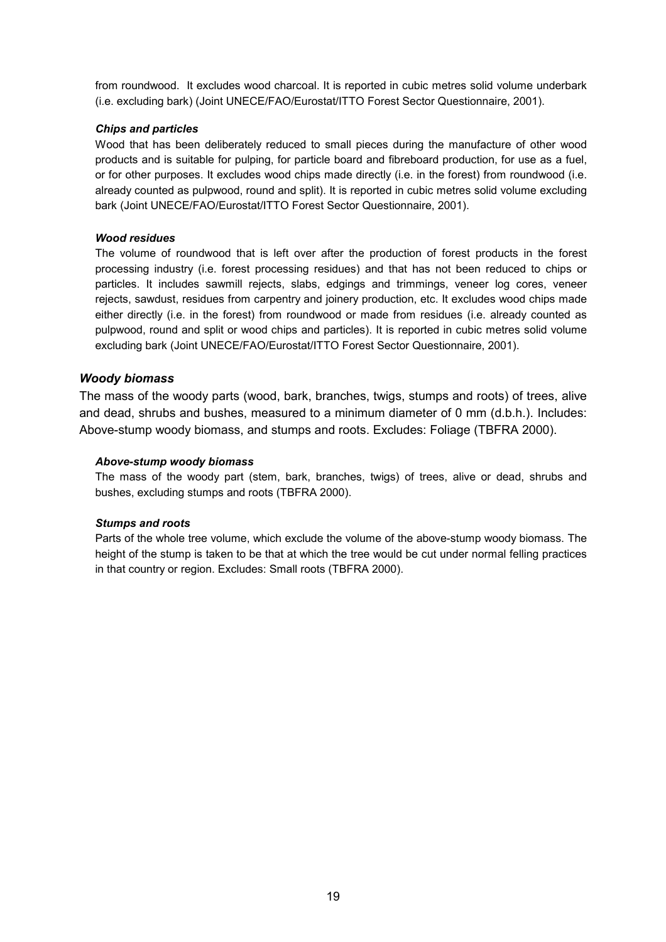from roundwood. It excludes wood charcoal. It is reported in cubic metres solid volume underbark (i.e. excluding bark) (Joint UNECE/FAO/Eurostat/ITTO Forest Sector Questionnaire, 2001).

#### <span id="page-19-0"></span>*Chips and particles*

Wood that has been deliberately reduced to small pieces during the manufacture of other wood products and is suitable for pulping, for particle board and fibreboard production, for use as a fuel, or for other purposes. It excludes wood chips made directly (i.e. in the forest) from roundwood (i.e. already counted as pulpwood, round and split). It is reported in cubic metres solid volume excluding bark (Joint UNECE/FAO/Eurostat/ITTO Forest Sector Questionnaire, 2001).

#### <span id="page-19-1"></span>*Wood residues*

The volume of roundwood that is left over after the production of forest products in the forest processing industry (i.e. forest processing residues) and that has not been reduced to chips or particles. It includes sawmill rejects, slabs, edgings and trimmings, veneer log cores, veneer rejects, sawdust, residues from carpentry and joinery production, etc. It excludes wood chips made either directly (i.e. in the forest) from roundwood or made from residues (i.e. already counted as pulpwood, round and split or wood chips and particles). It is reported in cubic metres solid volume excluding bark (Joint UNECE/FAO/Eurostat/ITTO Forest Sector Questionnaire, 2001).

#### <span id="page-19-2"></span>*Woody biomass*

The mass of the woody parts (wood, bark, branches, twigs, stumps and roots) of trees, alive and dead, shrubs and bushes, measured to a minimum diameter of 0 mm (d.b.h.). Includes: Above-stump woody biomass, and stumps and roots. Excludes: Foliage (TBFRA 2000).

#### <span id="page-19-3"></span>*Above-stump woody biomass*

The mass of the woody part (stem, bark, branches, twigs) of trees, alive or dead, shrubs and bushes, excluding stumps and roots (TBFRA 2000).

#### <span id="page-19-4"></span>*Stumps and roots*

Parts of the whole tree volume, which exclude the volume of the above-stump woody biomass. The height of the stump is taken to be that at which the tree would be cut under normal felling practices in that country or region. Excludes: Small roots (TBFRA 2000).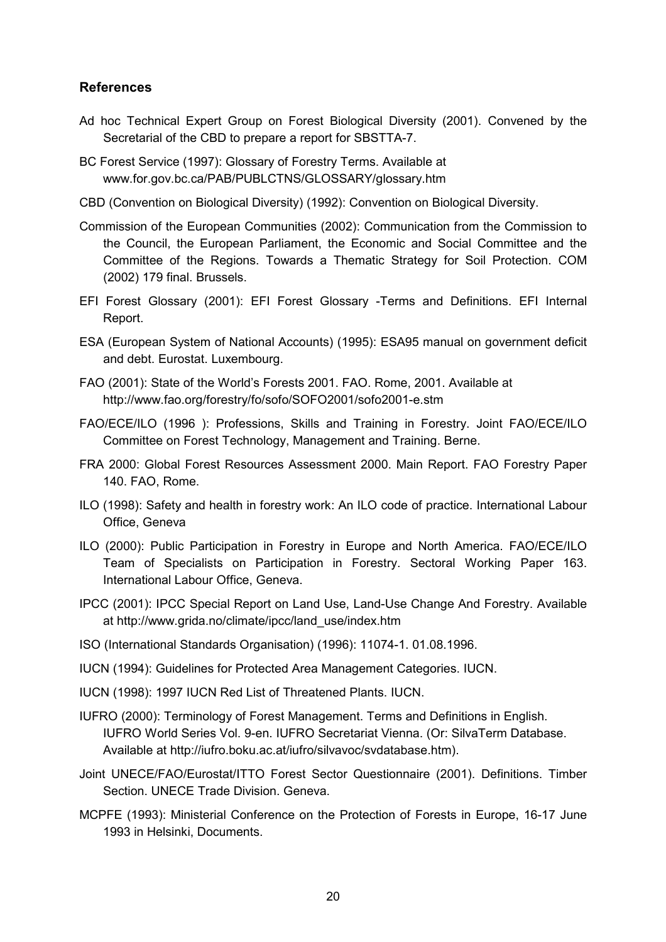# <span id="page-20-0"></span>**References**

- Ad hoc Technical Expert Group on Forest Biological Diversity (2001). Convened by the Secretarial of the CBD to prepare a report for SBSTTA-7.
- BC Forest Service (1997): Glossary of Forestry Terms. Available at www.for.gov.bc.ca/PAB/PUBLCTNS/GLOSSARY/glossary.htm
- CBD (Convention on Biological Diversity) (1992): Convention on Biological Diversity.
- Commission of the European Communities (2002): Communication from the Commission to the Council, the European Parliament, the Economic and Social Committee and the Committee of the Regions. Towards a Thematic Strategy for Soil Protection. COM (2002) 179 final. Brussels.
- EFI Forest Glossary (2001): EFI Forest Glossary -Terms and Definitions. EFI Internal Report.
- ESA (European System of National Accounts) (1995): ESA95 manual on government deficit and debt. Eurostat. Luxembourg.
- FAO (2001): State of the World's Forests 2001. FAO. Rome, 2001. Available at http://www.fao.org/forestry/fo/sofo/SOFO2001/sofo2001-e.stm
- FAO/ECE/ILO (1996 ): Professions, Skills and Training in Forestry. Joint FAO/ECE/ILO Committee on Forest Technology, Management and Training. Berne.
- FRA 2000: Global Forest Resources Assessment 2000. Main Report. FAO Forestry Paper 140. FAO, Rome.
- ILO (1998): Safety and health in forestry work: An ILO code of practice. International Labour Office, Geneva
- ILO (2000): Public Participation in Forestry in Europe and North America. FAO/ECE/ILO Team of Specialists on Participation in Forestry. Sectoral Working Paper 163. International Labour Office, Geneva.
- IPCC (2001): IPCC Special Report on Land Use, Land-Use Change And Forestry. Available at http://www.grida.no/climate/ipcc/land\_use/index.htm
- ISO (International Standards Organisation) (1996): 11074-1. 01.08.1996.
- IUCN (1994): Guidelines for Protected Area Management Categories. IUCN.
- IUCN (1998): 1997 IUCN Red List of Threatened Plants. IUCN.
- IUFRO (2000): Terminology of Forest Management. Terms and Definitions in English. IUFRO World Series Vol. 9-en. IUFRO Secretariat Vienna. (Or: SilvaTerm Database. Available at http://iufro.boku.ac.at/iufro/silvavoc/svdatabase.htm).
- Joint UNECE/FAO/Eurostat/ITTO Forest Sector Questionnaire (2001). Definitions. Timber Section. UNECE Trade Division. Geneva.
- MCPFE (1993): Ministerial Conference on the Protection of Forests in Europe, 16-17 June 1993 in Helsinki, Documents.